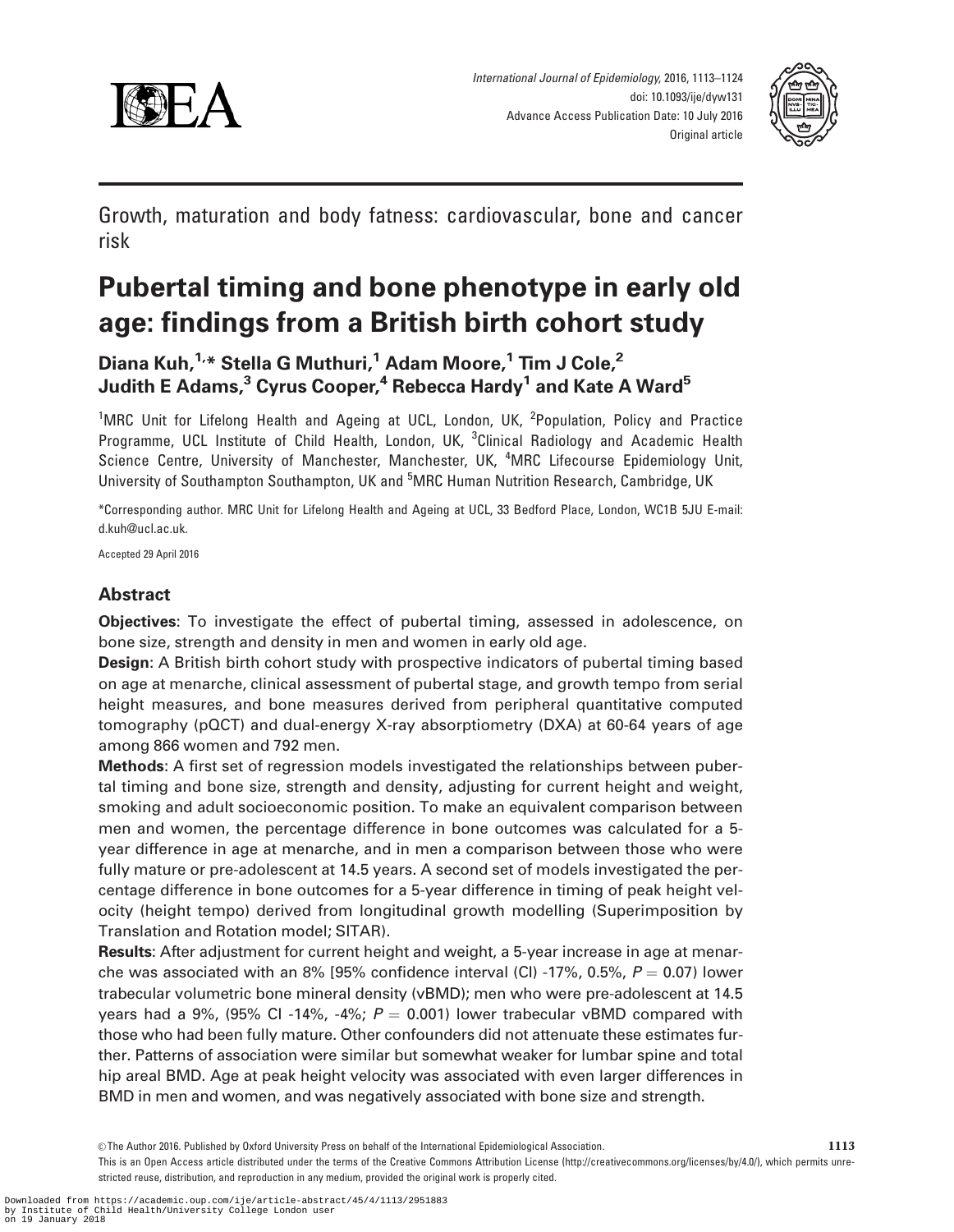



Growth, maturation and body fatness: cardiovascular, bone and cancer risk

# Pubertal timing and bone phenotype in early old age: findings from a British birth cohort study

## Diana Kuh, <sup>1,\*</sup> Stella G Muthuri,<sup>1</sup> Adam Moore,<sup>1</sup> Tim J Cole,<sup>2</sup> Judith E Adams, $3$  Cyrus Cooper,<sup>4</sup> Rebecca Hardy<sup>1</sup> and Kate A Ward<sup>5</sup>

<sup>1</sup>MRC Unit for Lifelong Health and Ageing at UCL, London, UK, <sup>2</sup>Population, Policy and Practice Programme, UCL Institute of Child Health, London, UK, <sup>3</sup>Clinical Radiology and Academic Health Science Centre, University of Manchester, Manchester, UK, <sup>4</sup>MRC Lifecourse Epidemiology Unit, University of Southampton Southampton, UK and <sup>5</sup>MRC Human Nutrition Research, Cambridge, UK

\*Corresponding author. MRC Unit for Lifelong Health and Ageing at UCL, 33 Bedford Place, London, WC1B 5JU E-mail: d.kuh@ucl.ac.uk.

Accepted 29 April 2016

## Abstract

Objectives: To investigate the effect of pubertal timing, assessed in adolescence, on bone size, strength and density in men and women in early old age.

**Design:** A British birth cohort study with prospective indicators of pubertal timing based on age at menarche, clinical assessment of pubertal stage, and growth tempo from serial height measures, and bone measures derived from peripheral quantitative computed tomography (pQCT) and dual-energy X-ray absorptiometry (DXA) at 60-64 years of age among 866 women and 792 men.

Methods: A first set of regression models investigated the relationships between pubertal timing and bone size, strength and density, adjusting for current height and weight, smoking and adult socioeconomic position. To make an equivalent comparison between men and women, the percentage difference in bone outcomes was calculated for a 5 year difference in age at menarche, and in men a comparison between those who were fully mature or pre-adolescent at 14.5 years. A second set of models investigated the percentage difference in bone outcomes for a 5-year difference in timing of peak height velocity (height tempo) derived from longitudinal growth modelling (Superimposition by Translation and Rotation model; SITAR).

Results: After adjustment for current height and weight, a 5-year increase in age at menarche was associated with an 8% [95% confidence interval (CI) -17%, 0.5%,  $P = 0.07$ ) lower trabecular volumetric bone mineral density (vBMD); men who were pre-adolescent at 14.5 years had a 9%, (95% CI -14%, -4%;  $P = 0.001$ ) lower trabecular vBMD compared with those who had been fully mature. Other confounders did not attenuate these estimates further. Patterns of association were similar but somewhat weaker for lumbar spine and total hip areal BMD. Age at peak height velocity was associated with even larger differences in BMD in men and women, and was negatively associated with bone size and strength.

This is an Open Access article distributed under the terms of the Creative Commons Attribution License (http://creativecommons.org/licenses/by/4.0/), which permits unrestricted reuse, distribution, and reproduction in any medium, provided the original work is properly cited.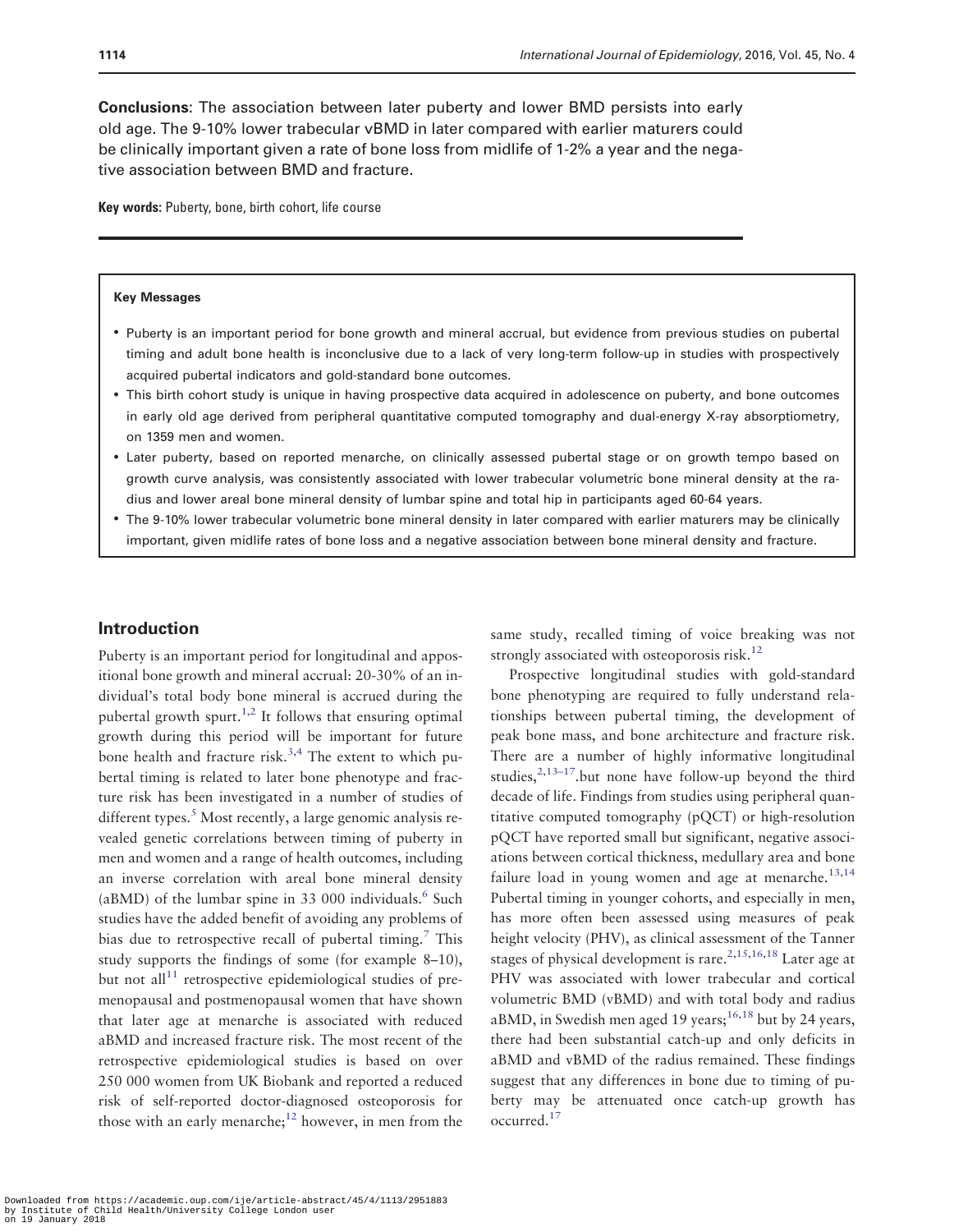Conclusions: The association between later puberty and lower BMD persists into early old age. The 9-10% lower trabecular vBMD in later compared with earlier maturers could be clinically important given a rate of bone loss from midlife of 1-2% a year and the negative association between BMD and fracture.

Key words: Puberty, bone, birth cohort, life course

#### Key Messages

- Puberty is an important period for bone growth and mineral accrual, but evidence from previous studies on pubertal timing and adult bone health is inconclusive due to a lack of very long-term follow-up in studies with prospectively acquired pubertal indicators and gold-standard bone outcomes.
- This birth cohort study is unique in having prospective data acquired in adolescence on puberty, and bone outcomes in early old age derived from peripheral quantitative computed tomography and dual-energy X-ray absorptiometry, on 1359 men and women.
- Later puberty, based on reported menarche, on clinically assessed pubertal stage or on growth tempo based on growth curve analysis, was consistently associated with lower trabecular volumetric bone mineral density at the radius and lower areal bone mineral density of lumbar spine and total hip in participants aged 60-64 years.
- The 9-10% lower trabecular volumetric bone mineral density in later compared with earlier maturers may be clinically important, given midlife rates of bone loss and a negative association between bone mineral density and fracture.

## Introduction

Puberty is an important period for longitudinal and appositional bone growth and mineral accrual: 20-30% of an individual's total body bone mineral is accrued during the pubertal growth spurt.<sup>[1,2](#page-10-0)</sup> It follows that ensuring optimal growth during this period will be important for future bone health and fracture risk.<sup>[3,4](#page-10-0)</sup> The extent to which pubertal timing is related to later bone phenotype and fracture risk has been investigated in a number of studies of different types.<sup>[5](#page-10-0)</sup> Most recently, a large genomic analysis revealed genetic correlations between timing of puberty in men and women and a range of health outcomes, including an inverse correlation with areal bone mineral density (aBMD) of the lumbar spine in 33 000 individuals. $<sup>6</sup>$  Such</sup> studies have the added benefit of avoiding any problems of bias due to retrospective recall of pubertal timing.<sup>[7](#page-10-0)</sup> This study supports the findings of some (for example 8–10), but not all<sup>[11](#page-11-0)</sup> retrospective epidemiological studies of premenopausal and postmenopausal women that have shown that later age at menarche is associated with reduced aBMD and increased fracture risk. The most recent of the retrospective epidemiological studies is based on over 250 000 women from UK Biobank and reported a reduced risk of self-reported doctor-diagnosed osteoporosis for those with an early menarche; $12$  however, in men from the

same study, recalled timing of voice breaking was not strongly associated with osteoporosis risk.<sup>12</sup>

Prospective longitudinal studies with gold-standard bone phenotyping are required to fully understand relationships between pubertal timing, the development of peak bone mass, and bone architecture and fracture risk. There are a number of highly informative longitudinal studies,  $2,13-17$  $2,13-17$  but none have follow-up beyond the third decade of life. Findings from studies using peripheral quantitative computed tomography (pQCT) or high-resolution pQCT have reported small but significant, negative associations between cortical thickness, medullary area and bone failure load in young women and age at menarche. $^{13,14}$  $^{13,14}$  $^{13,14}$ Pubertal timing in younger cohorts, and especially in men, has more often been assessed using measures of peak height velocity (PHV), as clinical assessment of the Tanner stages of physical development is rare.<sup>[2,](#page-10-0)[15,16,18](#page-11-0)</sup> Later age at PHV was associated with lower trabecular and cortical volumetric BMD (vBMD) and with total body and radius aBMD, in Swedish men aged 19 years;<sup>[16,18](#page-11-0)</sup> but by 24 years, there had been substantial catch-up and only deficits in aBMD and vBMD of the radius remained. These findings suggest that any differences in bone due to timing of puberty may be attenuated once catch-up growth has occurred.[17](#page-11-0)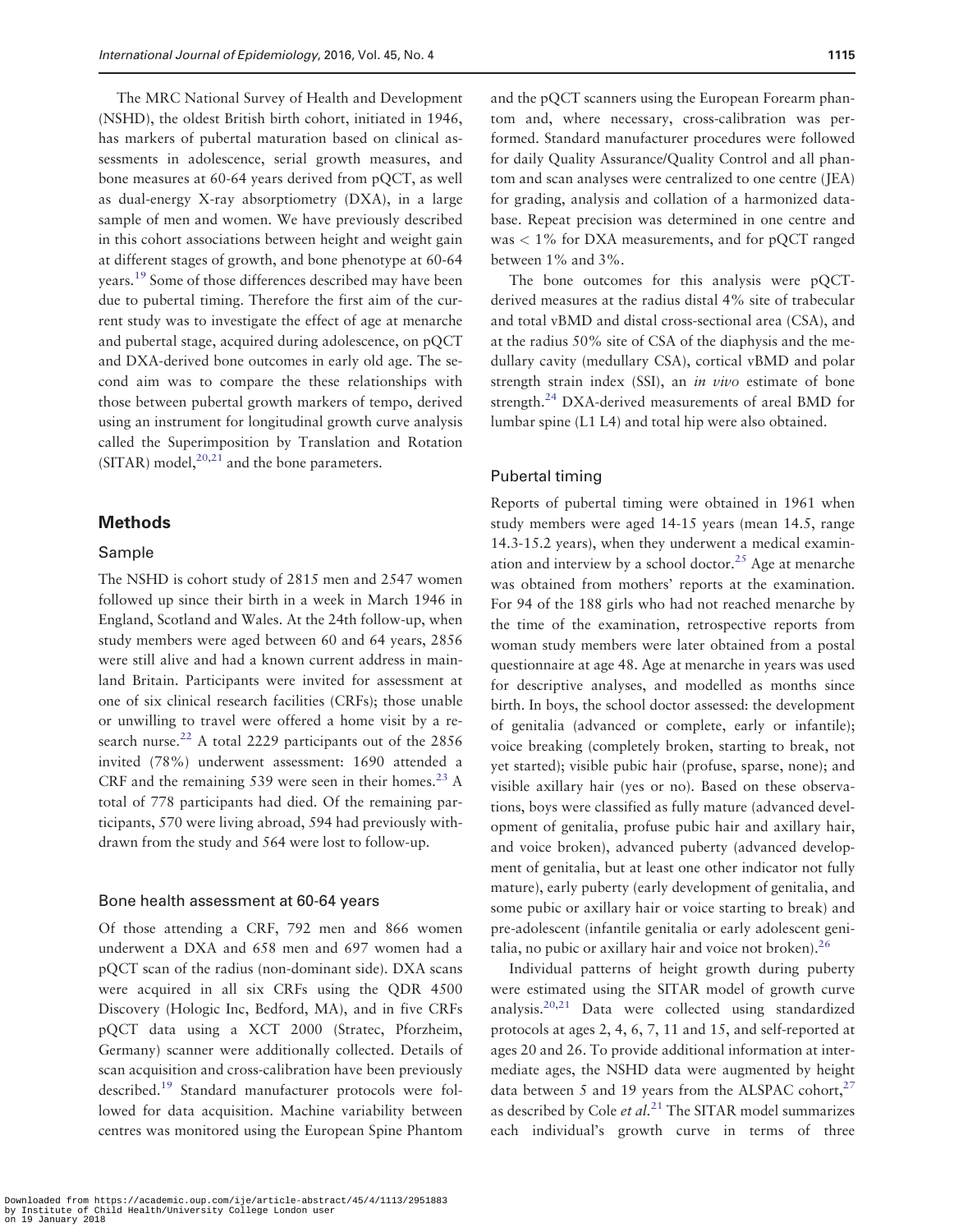The MRC National Survey of Health and Development (NSHD), the oldest British birth cohort, initiated in 1946, has markers of pubertal maturation based on clinical assessments in adolescence, serial growth measures, and bone measures at 60-64 years derived from pQCT, as well as dual-energy X-ray absorptiometry (DXA), in a large sample of men and women. We have previously described in this cohort associations between height and weight gain at different stages of growth, and bone phenotype at 60-64 years[.19](#page-11-0) Some of those differences described may have been due to pubertal timing. Therefore the first aim of the current study was to investigate the effect of age at menarche and pubertal stage, acquired during adolescence, on pQCT and DXA-derived bone outcomes in early old age. The second aim was to compare the these relationships with those between pubertal growth markers of tempo, derived using an instrument for longitudinal growth curve analysis called the Superimposition by Translation and Rotation (SITAR) model, $^{20,21}$  and the bone parameters.

## Methods

#### Sample

The NSHD is cohort study of 2815 men and 2547 women followed up since their birth in a week in March 1946 in England, Scotland and Wales. At the 24th follow-up, when study members were aged between 60 and 64 years, 2856 were still alive and had a known current address in mainland Britain. Participants were invited for assessment at one of six clinical research facilities (CRFs); those unable or unwilling to travel were offered a home visit by a re-search nurse.<sup>[22](#page-11-0)</sup> A total 2229 participants out of the 2856 invited (78%) underwent assessment: 1690 attended a CRF and the remaining 539 were seen in their homes. $^{23}$  $^{23}$  $^{23}$  A total of 778 participants had died. Of the remaining participants, 570 were living abroad, 594 had previously withdrawn from the study and 564 were lost to follow-up.

#### Bone health assessment at 60-64 years

Of those attending a CRF, 792 men and 866 women underwent a DXA and 658 men and 697 women had a pQCT scan of the radius (non-dominant side). DXA scans were acquired in all six CRFs using the QDR 4500 Discovery (Hologic Inc, Bedford, MA), and in five CRFs pQCT data using a XCT 2000 (Stratec, Pforzheim, Germany) scanner were additionally collected. Details of scan acquisition and cross-calibration have been previously described[.19](#page-11-0) Standard manufacturer protocols were followed for data acquisition. Machine variability between centres was monitored using the European Spine Phantom

and the pQCT scanners using the European Forearm phantom and, where necessary, cross-calibration was performed. Standard manufacturer procedures were followed for daily Quality Assurance/Quality Control and all phantom and scan analyses were centralized to one centre (JEA) for grading, analysis and collation of a harmonized database. Repeat precision was determined in one centre and was < 1% for DXA measurements, and for pQCT ranged between 1% and 3%.

The bone outcomes for this analysis were pQCTderived measures at the radius distal 4% site of trabecular and total vBMD and distal cross-sectional area (CSA), and at the radius 50% site of CSA of the diaphysis and the medullary cavity (medullary CSA), cortical vBMD and polar strength strain index (SSI), an *in vivo* estimate of bone strength.<sup>24</sup> DXA-derived measurements of areal BMD for lumbar spine (L1 L4) and total hip were also obtained.

## Pubertal timing

Reports of pubertal timing were obtained in 1961 when study members were aged 14-15 years (mean 14.5, range 14.3-15.2 years), when they underwent a medical examin-ation and interview by a school doctor.<sup>[25](#page-11-0)</sup> Age at menarche was obtained from mothers' reports at the examination. For 94 of the 188 girls who had not reached menarche by the time of the examination, retrospective reports from woman study members were later obtained from a postal questionnaire at age 48. Age at menarche in years was used for descriptive analyses, and modelled as months since birth. In boys, the school doctor assessed: the development of genitalia (advanced or complete, early or infantile); voice breaking (completely broken, starting to break, not yet started); visible pubic hair (profuse, sparse, none); and visible axillary hair (yes or no). Based on these observations, boys were classified as fully mature (advanced development of genitalia, profuse pubic hair and axillary hair, and voice broken), advanced puberty (advanced development of genitalia, but at least one other indicator not fully mature), early puberty (early development of genitalia, and some pubic or axillary hair or voice starting to break) and pre-adolescent (infantile genitalia or early adolescent geni-talia, no pubic or axillary hair and voice not broken).<sup>[26](#page-11-0)</sup>

Individual patterns of height growth during puberty were estimated using the SITAR model of growth curve analysis[.20,21](#page-11-0) Data were collected using standardized protocols at ages 2, 4, 6, 7, 11 and 15, and self-reported at ages 20 and 26. To provide additional information at intermediate ages, the NSHD data were augmented by height data between 5 and 19 years from the ALSPAC cohort, $27$ as described by Cole et  $al.^{21}$  $al.^{21}$  $al.^{21}$ . The SITAR model summarizes each individual's growth curve in terms of three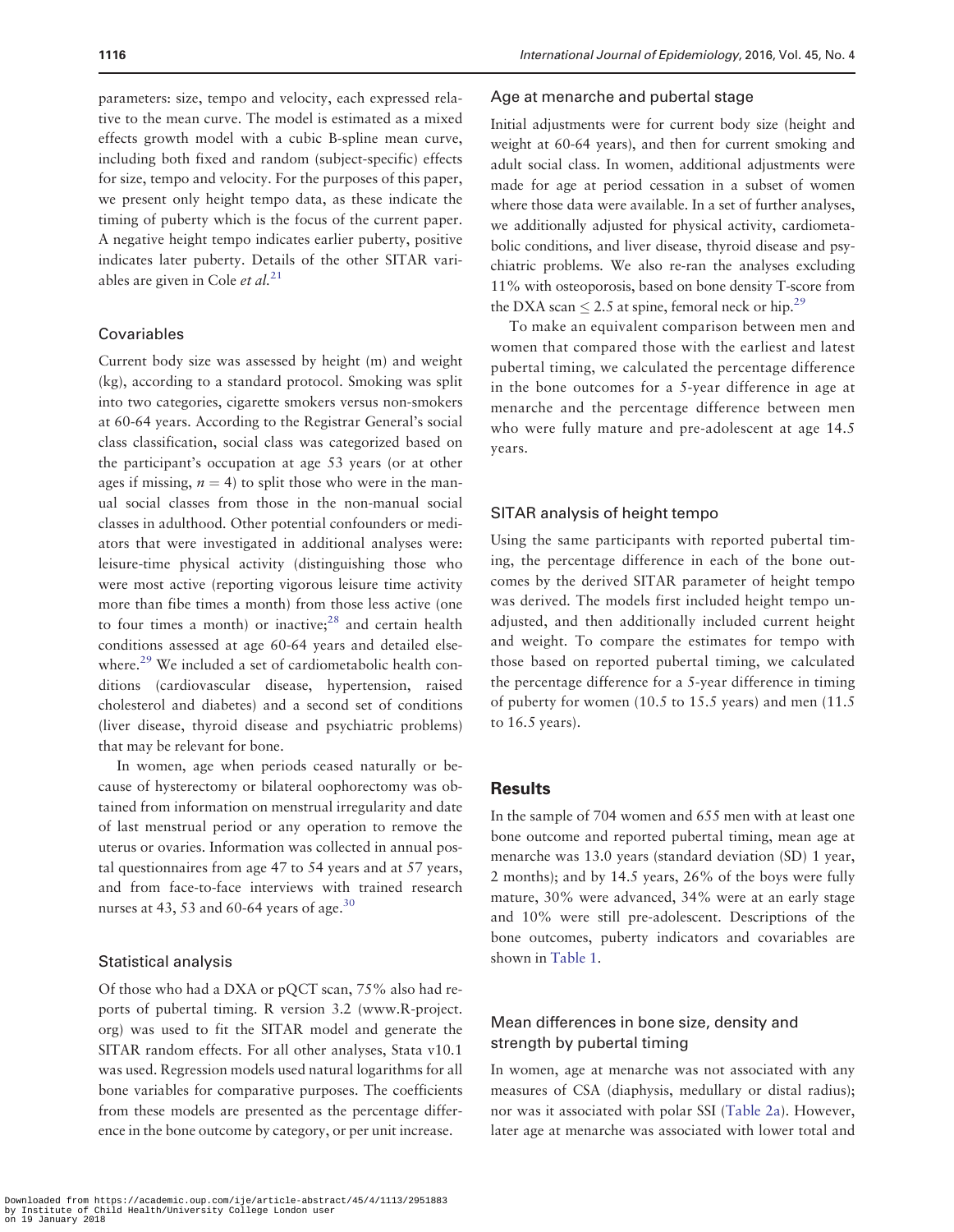parameters: size, tempo and velocity, each expressed relative to the mean curve. The model is estimated as a mixed effects growth model with a cubic B-spline mean curve, including both fixed and random (subject-specific) effects for size, tempo and velocity. For the purposes of this paper, we present only height tempo data, as these indicate the timing of puberty which is the focus of the current paper. A negative height tempo indicates earlier puberty, positive indicates later puberty. Details of the other SITAR variables are given in Cole et  $al.^{21}$  $al.^{21}$  $al.^{21}$ 

## Covariables

Current body size was assessed by height (m) and weight (kg), according to a standard protocol. Smoking was split into two categories, cigarette smokers versus non-smokers at 60-64 years. According to the Registrar General's social class classification, social class was categorized based on the participant's occupation at age 53 years (or at other ages if missing,  $n = 4$ ) to split those who were in the manual social classes from those in the non-manual social classes in adulthood. Other potential confounders or mediators that were investigated in additional analyses were: leisure-time physical activity (distinguishing those who were most active (reporting vigorous leisure time activity more than fibe times a month) from those less active (one to four times a month) or inactive; $28$  and certain health conditions assessed at age 60-64 years and detailed else-where.<sup>[29](#page-11-0)</sup> We included a set of cardiometabolic health conditions (cardiovascular disease, hypertension, raised cholesterol and diabetes) and a second set of conditions (liver disease, thyroid disease and psychiatric problems) that may be relevant for bone.

In women, age when periods ceased naturally or because of hysterectomy or bilateral oophorectomy was obtained from information on menstrual irregularity and date of last menstrual period or any operation to remove the uterus or ovaries. Information was collected in annual postal questionnaires from age 47 to 54 years and at 57 years, and from face-to-face interviews with trained research nurses at 43, 53 and 60-64 years of age. $30$ 

#### Statistical analysis

Of those who had a DXA or pQCT scan, 75% also had reports of pubertal timing. R version 3.2 ([www.R-project.](http://www.R-project.org) [org](http://www.R-project.org)) was used to fit the SITAR model and generate the SITAR random effects. For all other analyses, Stata v10.1 was used. Regression models used natural logarithms for all bone variables for comparative purposes. The coefficients from these models are presented as the percentage difference in the bone outcome by category, or per unit increase.

#### Age at menarche and pubertal stage

Initial adjustments were for current body size (height and weight at 60-64 years), and then for current smoking and adult social class. In women, additional adjustments were made for age at period cessation in a subset of women where those data were available. In a set of further analyses, we additionally adjusted for physical activity, cardiometabolic conditions, and liver disease, thyroid disease and psychiatric problems. We also re-ran the analyses excluding 11% with osteoporosis, based on bone density T-score from the DXA scan  $\leq$  2.5 at spine, femoral neck or hip.<sup>[29](#page-11-0)</sup>

To make an equivalent comparison between men and women that compared those with the earliest and latest pubertal timing, we calculated the percentage difference in the bone outcomes for a 5-year difference in age at menarche and the percentage difference between men who were fully mature and pre-adolescent at age 14.5 years.

#### SITAR analysis of height tempo

Using the same participants with reported pubertal timing, the percentage difference in each of the bone outcomes by the derived SITAR parameter of height tempo was derived. The models first included height tempo unadjusted, and then additionally included current height and weight. To compare the estimates for tempo with those based on reported pubertal timing, we calculated the percentage difference for a 5-year difference in timing of puberty for women (10.5 to 15.5 years) and men (11.5 to 16.5 years).

## **Results**

In the sample of 704 women and 655 men with at least one bone outcome and reported pubertal timing, mean age at menarche was 13.0 years (standard deviation (SD) 1 year, 2 months); and by 14.5 years, 26% of the boys were fully mature, 30% were advanced, 34% were at an early stage and 10% were still pre-adolescent. Descriptions of the bone outcomes, puberty indicators and covariables are shown in [Table 1.](#page-4-0)

## Mean differences in bone size, density and strength by pubertal timing

In women, age at menarche was not associated with any measures of CSA (diaphysis, medullary or distal radius); nor was it associated with polar SSI ([Table 2a](#page-5-0)). However, later age at menarche was associated with lower total and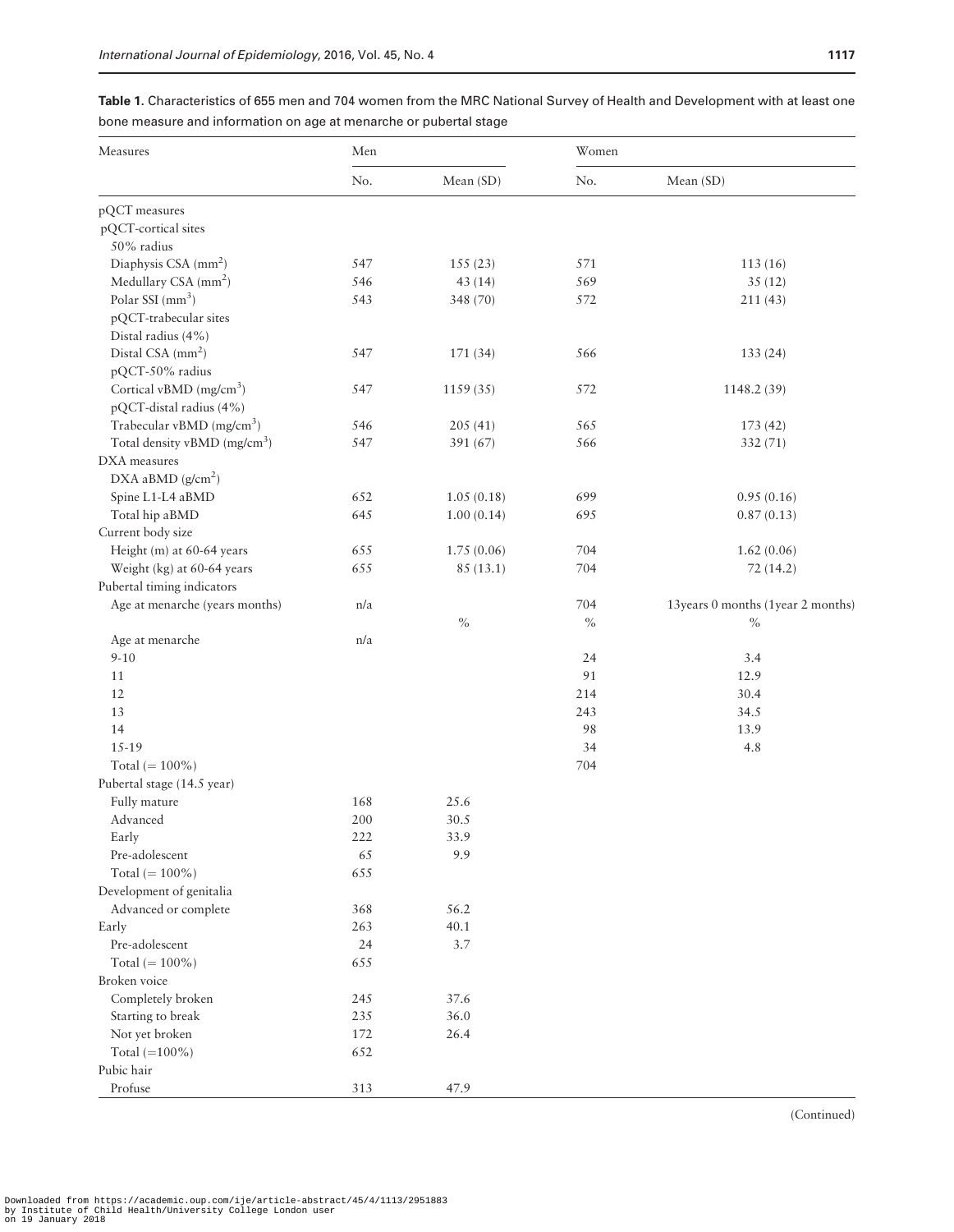<span id="page-4-0"></span>

| <b>Table 1.</b> Characteristics of 655 men and 704 women from the MRC National Survey of Health and Development with at least one |
|-----------------------------------------------------------------------------------------------------------------------------------|
| bone measure and information on age at menarche or pubertal stage                                                                 |

| Measures                                 | Men |            | Women |                                   |  |  |
|------------------------------------------|-----|------------|-------|-----------------------------------|--|--|
|                                          | No. | Mean (SD)  | No.   | Mean (SD)                         |  |  |
| pQCT measures                            |     |            |       |                                   |  |  |
| pQCT-cortical sites                      |     |            |       |                                   |  |  |
| 50% radius                               |     |            |       |                                   |  |  |
| Diaphysis CSA (mm <sup>2</sup> )         | 547 | 155(23)    | 571   | 113(16)                           |  |  |
| Medullary CSA (mm <sup>2</sup> )         | 546 | 43(14)     | 569   | 35(12)                            |  |  |
| Polar SSI $\text{(mm}^3)$                | 543 | 348 (70)   | 572   | 211(43)                           |  |  |
| pQCT-trabecular sites                    |     |            |       |                                   |  |  |
| Distal radius (4%)                       |     |            |       |                                   |  |  |
| Distal CSA (mm <sup>2</sup> )            | 547 | 171 (34)   | 566   | 133(24)                           |  |  |
| pQCT-50% radius                          |     |            |       |                                   |  |  |
| Cortical vBMD (mg/cm <sup>3</sup> )      | 547 | 1159 (35)  | 572   | 1148.2 (39)                       |  |  |
| pQCT-distal radius (4%)                  |     |            |       |                                   |  |  |
| Trabecular vBMD ( $mg/cm3$ )             | 546 | 205(41)    | 565   | 173(42)                           |  |  |
| Total density vBMD (mg/cm <sup>3</sup> ) | 547 | 391 (67)   | 566   | 332(71)                           |  |  |
| DXA measures                             |     |            |       |                                   |  |  |
| $DXA$ aBMD ( $g/cm2$ )                   |     |            |       |                                   |  |  |
| Spine L1-L4 aBMD                         | 652 | 1.05(0.18) | 699   | 0.95(0.16)                        |  |  |
| Total hip aBMD                           | 645 | 1.00(0.14) | 695   | 0.87(0.13)                        |  |  |
| Current body size                        |     |            |       |                                   |  |  |
| Height (m) at 60-64 years                | 655 | 1.75(0.06) | 704   | 1.62(0.06)                        |  |  |
| Weight (kg) at 60-64 years               | 655 | 85 (13.1)  | 704   | 72(14.2)                          |  |  |
| Pubertal timing indicators               |     |            |       |                                   |  |  |
| Age at menarche (years months)           | n/a |            | 704   | 13years 0 months (1year 2 months) |  |  |
|                                          |     | $\%$       | $\%$  | $\%$                              |  |  |
| Age at menarche                          | n/a |            |       |                                   |  |  |
| $9 - 10$                                 |     |            | 24    | 3.4                               |  |  |
| 11                                       |     |            | 91    | 12.9                              |  |  |
| 12                                       |     |            | 214   | 30.4                              |  |  |
| 13                                       |     |            | 243   | 34.5                              |  |  |
| 14                                       |     |            | 98    | 13.9                              |  |  |
| 15-19                                    |     |            | 34    | 4.8                               |  |  |
| Total $(= 100\%)$                        |     |            | 704   |                                   |  |  |
| Pubertal stage (14.5 year)               |     |            |       |                                   |  |  |
| Fully mature                             | 168 | 25.6       |       |                                   |  |  |
| Advanced                                 | 200 | 30.5       |       |                                   |  |  |
| Early                                    | 222 | 33.9       |       |                                   |  |  |
| Pre-adolescent                           | 65  | 9.9        |       |                                   |  |  |
| Total $(= 100\%)$                        | 655 |            |       |                                   |  |  |
| Development of genitalia                 |     |            |       |                                   |  |  |
| Advanced or complete                     | 368 | 56.2       |       |                                   |  |  |
| Early                                    | 263 | 40.1       |       |                                   |  |  |
| Pre-adolescent                           | 24  | 3.7        |       |                                   |  |  |
| Total $(= 100\%)$                        | 655 |            |       |                                   |  |  |
| Broken voice                             |     |            |       |                                   |  |  |
| Completely broken                        | 245 | 37.6       |       |                                   |  |  |
| Starting to break                        | 235 | 36.0       |       |                                   |  |  |
| Not yet broken                           | 172 | 26.4       |       |                                   |  |  |
| Total $(=100\%)$                         | 652 |            |       |                                   |  |  |
| Pubic hair                               |     |            |       |                                   |  |  |
| Profuse                                  | 313 | 47.9       |       |                                   |  |  |

(Continued)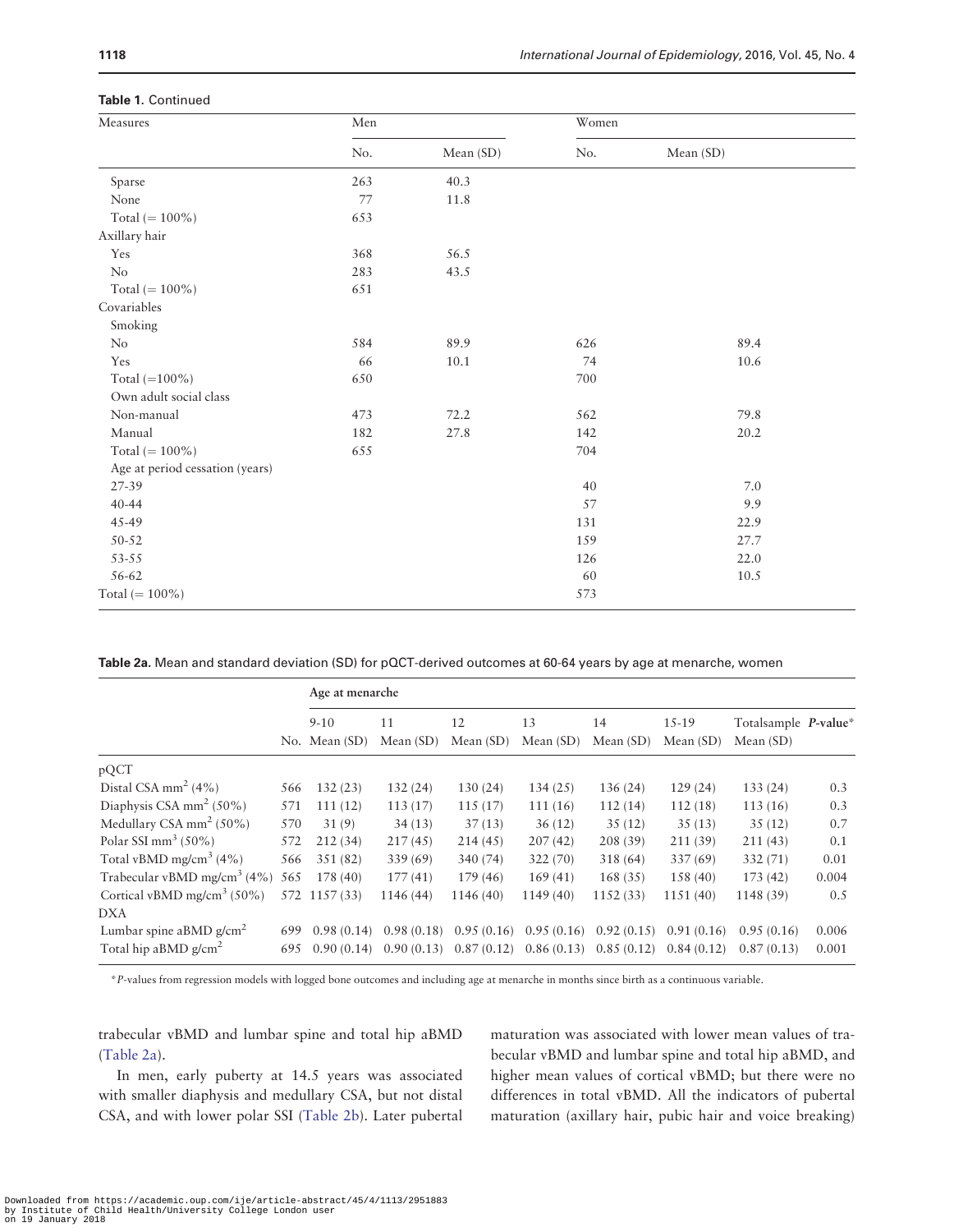#### <span id="page-5-0"></span>Table 1. Continued

| Measures                        | Men |           | Women |           |  |  |
|---------------------------------|-----|-----------|-------|-----------|--|--|
|                                 | No. | Mean (SD) | No.   | Mean (SD) |  |  |
| Sparse                          | 263 | 40.3      |       |           |  |  |
| None                            | 77  | 11.8      |       |           |  |  |
| Total $(= 100\%)$               | 653 |           |       |           |  |  |
| Axillary hair                   |     |           |       |           |  |  |
| Yes                             | 368 | 56.5      |       |           |  |  |
| No                              | 283 | 43.5      |       |           |  |  |
| Total $(= 100\%)$               | 651 |           |       |           |  |  |
| Covariables                     |     |           |       |           |  |  |
| Smoking                         |     |           |       |           |  |  |
| N <sub>o</sub>                  | 584 | 89.9      | 626   | 89.4      |  |  |
| Yes                             | 66  | 10.1      | 74    | 10.6      |  |  |
| Total $(=100\%)$                | 650 |           | 700   |           |  |  |
| Own adult social class          |     |           |       |           |  |  |
| Non-manual                      | 473 | 72.2      | 562   | 79.8      |  |  |
| Manual                          | 182 | 27.8      | 142   | 20.2      |  |  |
| Total $(= 100\%)$               | 655 |           | 704   |           |  |  |
| Age at period cessation (years) |     |           |       |           |  |  |
| 27-39                           |     |           | 40    | 7.0       |  |  |
| $40 - 44$                       |     |           | 57    | 9.9       |  |  |
| 45-49                           |     |           | 131   | 22.9      |  |  |
| 50-52                           |     |           | 159   | 27.7      |  |  |
| $53 - 55$                       |     |           | 126   | 22.0      |  |  |
| 56-62                           |     |           | 60    | $10.5\,$  |  |  |
| Total $(= 100\%)$               |     |           | 573   |           |  |  |

Table 2a. Mean and standard deviation (SD) for pQCT-derived outcomes at 60-64 years by age at menarche, women

|                                         |     | Age at menarche           |                   |                   |                   |                   |                      |                                     |       |  |
|-----------------------------------------|-----|---------------------------|-------------------|-------------------|-------------------|-------------------|----------------------|-------------------------------------|-------|--|
|                                         |     | $9 - 10$<br>No. Mean (SD) | 11<br>Mean $(SD)$ | 12<br>Mean $(SD)$ | 13<br>Mean $(SD)$ | 14<br>Mean $(SD)$ | 15-19<br>Mean $(SD)$ | Totalsample P-value*<br>Mean $(SD)$ |       |  |
| pQCT                                    |     |                           |                   |                   |                   |                   |                      |                                     |       |  |
| Distal CSA mm <sup>2</sup> $(4\%)$      | 566 | 132(23)                   | 132(24)           | 130(24)           | 134(25)           | 136(24)           | 129(24)              | 133(24)                             | 0.3   |  |
| Diaphysis CSA mm <sup>2</sup> $(50\%)$  | 571 | 111(12)                   | 113(17)           | 115(17)           | 111(16)           | 112(14)           | 112(18)              | 113(16)                             | 0.3   |  |
| Medullary CSA mm <sup>2</sup> $(50\%)$  | 570 | 31(9)                     | 34(13)            | 37(13)            | 36(12)            | 35(12)            | 35(13)               | 35(12)                              | 0.7   |  |
| Polar SSI mm <sup>3</sup> $(50\%)$      | 572 | 212(34)                   | 217(45)           | 214(45)           | 207(42)           | 208(39)           | 211(39)              | 211(43)                             | 0.1   |  |
| Total vBMD mg/cm <sup>3</sup> $(4\%)$   | 566 | 351 (82)                  | 339(69)           | 340 (74)          | 322(70)           | 318 (64)          | 337 (69)             | 332 (71)                            | 0.01  |  |
| Trabecular vBMD mg/cm <sup>3</sup> (4%) | 565 | 178 (40)                  | 177(41)           | 179 (46)          | 169(41)           | 168(35)           | 158(40)              | 173(42)                             | 0.004 |  |
| Cortical vBMD mg/cm <sup>3</sup> (50%)  |     | 572 1157 (33)             | 1146 (44)         | 1146 (40)         | 1149(40)          | 1152(33)          | 1151 (40)            | 1148 (39)                           | 0.5   |  |
| <b>DXA</b>                              |     |                           |                   |                   |                   |                   |                      |                                     |       |  |
| Lumbar spine aBMD $g/cm^2$              | 699 | 0.98(0.14)                | 0.98(0.18)        | 0.95(0.16)        | 0.95(0.16)        | 0.92(0.15)        | 0.91(0.16)           | 0.95(0.16)                          | 0.006 |  |
| Total hip aBMD $g/cm2$                  | 695 | 0.90(0.14)                | 0.90(0.13)        | 0.87(0.12)        | 0.86(0.13)        | 0.85(0.12)        | 0.84(0.12)           | 0.87(0.13)                          | 0.001 |  |

\*P-values from regression models with logged bone outcomes and including age at menarche in months since birth as a continuous variable.

trabecular vBMD and lumbar spine and total hip aBMD (Table 2a).

In men, early puberty at 14.5 years was associated with smaller diaphysis and medullary CSA, but not distal CSA, and with lower polar SSI ([Table 2b\)](#page-6-0). Later pubertal maturation was associated with lower mean values of trabecular vBMD and lumbar spine and total hip aBMD, and higher mean values of cortical vBMD; but there were no differences in total vBMD. All the indicators of pubertal maturation (axillary hair, pubic hair and voice breaking)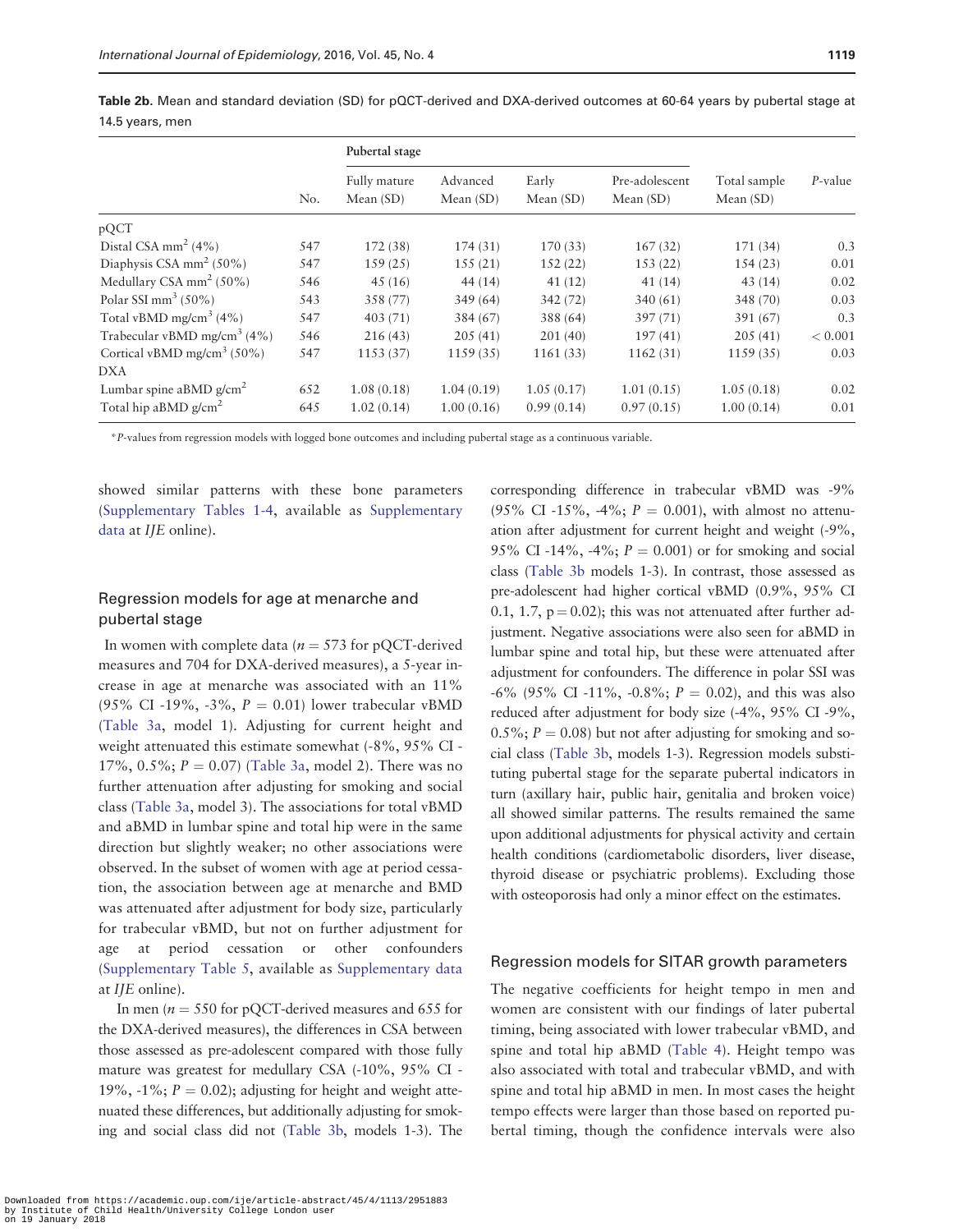|                                            |     | Pubertal stage              |                         |                      |                               |                             |            |
|--------------------------------------------|-----|-----------------------------|-------------------------|----------------------|-------------------------------|-----------------------------|------------|
|                                            | No. | Fully mature<br>Mean $(SD)$ | Advanced<br>Mean $(SD)$ | Early<br>Mean $(SD)$ | Pre-adolescent<br>Mean $(SD)$ | Total sample<br>Mean $(SD)$ | $P$ -value |
| pQCT                                       |     |                             |                         |                      |                               |                             |            |
| Distal CSA mm <sup>2</sup> $(4\%)$         | 547 | 172 (38)                    | 174 (31)                | 170 (33)             | 167(32)                       | 171 (34)                    | 0.3        |
| Diaphysis CSA $mm^2$ (50%)                 | 547 | 159(25)                     | 155(21)                 | 152(22)              | 153(22)                       | 154(23)                     | 0.01       |
| Medullary CSA mm <sup>2</sup> $(50\%)$     | 546 | 45(16)                      | 44(14)                  | 41(12)               | 41(14)                        | 43(14)                      | 0.02       |
| Polar SSI mm <sup>3</sup> $(50\%)$         | 543 | 358 (77)                    | 349(64)                 | 342 (72)             | 340(61)                       | 348 (70)                    | 0.03       |
| Total vBMD mg/cm <sup>3</sup> $(4\%)$      | 547 | 403(71)                     | 384 (67)                | 388 (64)             | 397 (71)                      | 391 (67)                    | 0.3        |
| Trabecular vBMD mg/cm <sup>3</sup> $(4\%)$ | 546 | 216(43)                     | 205(41)                 | 201(40)              | 197(41)                       | 205(41)                     | < 0.001    |
| Cortical vBMD mg/cm <sup>3</sup> (50%)     | 547 | 1153 (37)                   | 1159(35)                | 1161(33)             | 1162(31)                      | 1159(35)                    | 0.03       |
| <b>DXA</b>                                 |     |                             |                         |                      |                               |                             |            |
| Lumbar spine aBMD $g/cm^2$                 | 652 | 1.08(0.18)                  | 1.04(0.19)              | 1.05(0.17)           | 1.01(0.15)                    | 1.05(0.18)                  | 0.02       |
| Total hip aBMD $g/cm^2$                    | 645 | 1.02(0.14)                  | 1.00(0.16)              | 0.99(0.14)           | 0.97(0.15)                    | 1.00(0.14)                  | 0.01       |

<span id="page-6-0"></span>Table 2b. Mean and standard deviation (SD) for pQCT-derived and DXA-derived outcomes at 60-64 years by pubertal stage at 14.5 years, men

\*P-values from regression models with logged bone outcomes and including pubertal stage as a continuous variable.

showed similar patterns with these bone parameters [\(Supplementary Tables 1-4,](http://ije.oxfordjournals.org/lookup/suppl/doi:10.1093/ije/dyw131/-/DC1) available as [Supplementary](http://ije.oxfordjournals.org/lookup/suppl/doi:10.1093/ije/dyw131/-/DC1) [data](http://ije.oxfordjournals.org/lookup/suppl/doi:10.1093/ije/dyw131/-/DC1) at IJE online).

## Regression models for age at menarche and pubertal stage

In women with complete data ( $n = 573$  for pQCT-derived measures and 704 for DXA-derived measures), a 5-year increase in age at menarche was associated with an 11% (95% CI -19%, -3%,  $P = 0.01$ ) lower trabecular vBMD (Table 3a, model 1). Adjusting for current height and weight attenuated this estimate somewhat (-8%, 95% CI - 17%, 0.5%;  $P = 0.07$  (Table 3a, model 2). There was no further attenuation after adjusting for smoking and social class [\(Table 3a,](#page-7-0) model 3). The associations for total vBMD and aBMD in lumbar spine and total hip were in the same direction but slightly weaker; no other associations were observed. In the subset of women with age at period cessation, the association between age at menarche and BMD was attenuated after adjustment for body size, particularly for trabecular vBMD, but not on further adjustment for age at period cessation or other confounders [\(Supplementary Table 5](http://ije.oxfordjournals.org/lookup/suppl/doi:10.1093/ije/dyw131/-/DC1), available as [Supplementary data](http://ije.oxfordjournals.org/lookup/suppl/doi:10.1093/ije/dyw131/-/DC1) at IJE online).

In men ( $n = 550$  for pQCT-derived measures and 655 for the DXA-derived measures), the differences in CSA between those assessed as pre-adolescent compared with those fully mature was greatest for medullary CSA (-10%, 95% CI - 19%,  $-1\%$ ;  $P = 0.02$ ); adjusting for height and weight attenuated these differences, but additionally adjusting for smoking and social class did not (Table 3b, models 1-3). The

Downloaded from https://academic.oup.com/ije/article-abstract/45/4/1113/2951883 by Institute of Child Health/University College London user on 19 January 2018

corresponding difference in trabecular vBMD was -9% (95% CI -15%, -4%;  $P = 0.001$ ), with almost no attenuation after adjustment for current height and weight (-9%, 95% CI -14%, -4%;  $P = 0.001$  or for smoking and social class (Table 3b models 1-3). In contrast, those assessed as pre-adolescent had higher cortical vBMD (0.9%, 95% CI 0.1, 1.7,  $p = 0.02$ ); this was not attenuated after further adjustment. Negative associations were also seen for aBMD in lumbar spine and total hip, but these were attenuated after adjustment for confounders. The difference in polar SSI was  $-6\%$  (95% CI  $-11\%$ ,  $-0.8\%$ ;  $P = 0.02$ ), and this was also reduced after adjustment for body size (-4%, 95% CI -9%,  $0.5\%$ ;  $P = 0.08$ ) but not after adjusting for smoking and social class ([Table 3b,](#page-7-0) models 1-3). Regression models substituting pubertal stage for the separate pubertal indicators in turn (axillary hair, public hair, genitalia and broken voice) all showed similar patterns. The results remained the same upon additional adjustments for physical activity and certain health conditions (cardiometabolic disorders, liver disease, thyroid disease or psychiatric problems). Excluding those with osteoporosis had only a minor effect on the estimates.

## Regression models for SITAR growth parameters

The negative coefficients for height tempo in men and women are consistent with our findings of later pubertal timing, being associated with lower trabecular vBMD, and spine and total hip aBMD ([Table 4\)](#page-8-0). Height tempo was also associated with total and trabecular vBMD, and with spine and total hip aBMD in men. In most cases the height tempo effects were larger than those based on reported pubertal timing, though the confidence intervals were also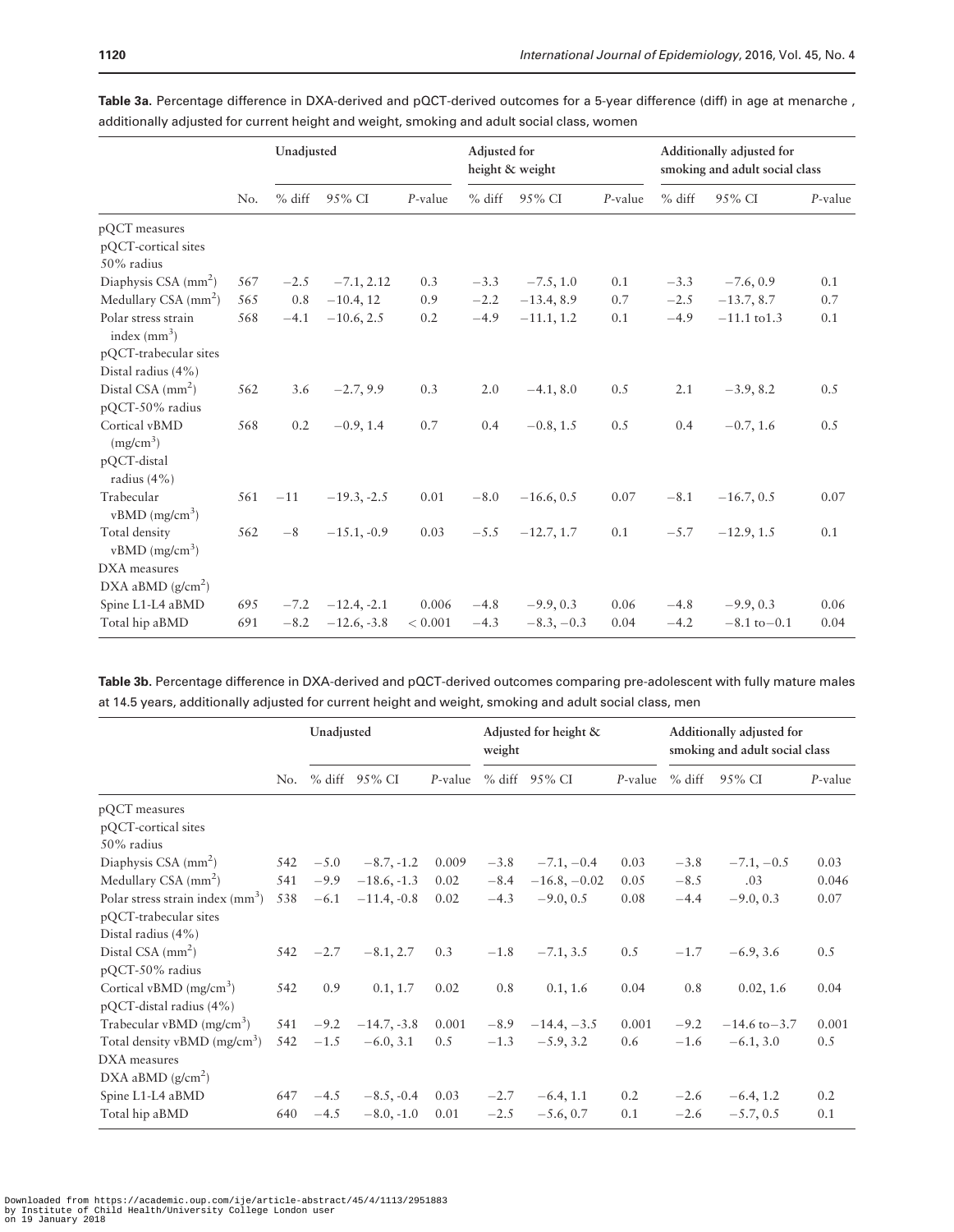|                                               | No. | Unadjusted |               |            | Adjusted for | height & weight |            |        | Additionally adjusted for<br>smoking and adult social class |            |
|-----------------------------------------------|-----|------------|---------------|------------|--------------|-----------------|------------|--------|-------------------------------------------------------------|------------|
|                                               |     | $%$ diff   | 95% CI        | $P$ -value | % diff       | 95% CI          | $P$ -value | % diff | 95% CI                                                      | $P$ -value |
| pQCT measures                                 |     |            |               |            |              |                 |            |        |                                                             |            |
| pQCT-cortical sites                           |     |            |               |            |              |                 |            |        |                                                             |            |
| 50% radius                                    |     |            |               |            |              |                 |            |        |                                                             |            |
| Diaphysis CSA (mm <sup>2</sup> )              | 567 | $-2.5$     | $-7.1, 2.12$  | 0.3        | $-3.3$       | $-7.5, 1.0$     | 0.1        | $-3.3$ | $-7.6, 0.9$                                                 | 0.1        |
| Medullary CSA (mm <sup>2</sup> )              | 565 | 0.8        | $-10.4, 12$   | 0.9        | $-2.2$       | $-13.4, 8.9$    | 0.7        | $-2.5$ | $-13.7, 8.7$                                                | 0.7        |
| Polar stress strain<br>index $\rm (mm^3)$     | 568 | $-4.1$     | $-10.6, 2.5$  | 0.2        | $-4.9$       | $-11.1, 1.2$    | 0.1        | $-4.9$ | $-11.1 \text{ to } 1.3$                                     | 0.1        |
| pQCT-trabecular sites                         |     |            |               |            |              |                 |            |        |                                                             |            |
| Distal radius $(4\%)$                         |     |            |               |            |              |                 |            |        |                                                             |            |
| Distal CSA $(mm2)$                            | 562 | 3.6        | $-2.7, 9.9$   | 0.3        | 2.0          | $-4.1, 8.0$     | 0.5        | 2.1    | $-3.9, 8.2$                                                 | 0.5        |
| pQCT-50% radius                               |     |            |               |            |              |                 |            |        |                                                             |            |
| Cortical vBMD<br>(mg/cm <sup>3</sup> )        | 568 | 0.2        | $-0.9, 1.4$   | 0.7        | 0.4          | $-0.8, 1.5$     | 0.5        | 0.4    | $-0.7, 1.6$                                                 | 0.5        |
| pQCT-distal<br>radius $(4\%)$                 |     |            |               |            |              |                 |            |        |                                                             |            |
| Trabecular<br>$vBMD$ (mg/cm <sup>3</sup> )    | 561 | $-11$      | $-19.3, -2.5$ | 0.01       | $-8.0$       | $-16.6, 0.5$    | 0.07       | $-8.1$ | $-16.7, 0.5$                                                | 0.07       |
| Total density<br>$vBMD$ (mg/cm <sup>3</sup> ) | 562 | $-8$       | $-15.1, -0.9$ | 0.03       | $-5.5$       | $-12.7, 1.7$    | 0.1        | $-5.7$ | $-12.9, 1.5$                                                | 0.1        |
| DXA measures                                  |     |            |               |            |              |                 |            |        |                                                             |            |
| DXA aBMD $(g/cm2)$                            |     |            |               |            |              |                 |            |        |                                                             |            |
| Spine L1-L4 aBMD                              | 695 | $-7.2$     | $-12.4, -2.1$ | 0.006      | $-4.8$       | $-9.9, 0.3$     | 0.06       | $-4.8$ | $-9.9, 0.3$                                                 | 0.06       |
| Total hip aBMD                                | 691 | $-8.2$     | $-12.6, -3.8$ | < 0.001    | $-4.3$       | $-8.3, -0.3$    | 0.04       | $-4.2$ | $-8.1$ to $-0.1$                                            | 0.04       |

<span id="page-7-0"></span>Table 3a. Percentage difference in DXA-derived and pQCT-derived outcomes for a 5-year difference (diff) in age at menarche , additionally adjusted for current height and weight, smoking and adult social class, women

Table 3b. Percentage difference in DXA-derived and pQCT-derived outcomes comparing pre-adolescent with fully mature males at 14.5 years, additionally adjusted for current height and weight, smoking and adult social class, men

|                                              |     | Unadjusted       |                    |               | weight | Adjusted for height & |            | Additionally adjusted for<br>smoking and adult social class |                         |            |  |
|----------------------------------------------|-----|------------------|--------------------|---------------|--------|-----------------------|------------|-------------------------------------------------------------|-------------------------|------------|--|
|                                              | No. |                  | $%$ diff $95\%$ CI | P-value       | % diff | 95% CI                | $P$ -value | $%$ diff                                                    | 95% CI                  | $P$ -value |  |
| pQCT measures                                |     |                  |                    |               |        |                       |            |                                                             |                         |            |  |
| pQCT-cortical sites                          |     |                  |                    |               |        |                       |            |                                                             |                         |            |  |
| 50% radius                                   |     |                  |                    |               |        |                       |            |                                                             |                         |            |  |
| Diaphysis CSA $\text{(mm}^2)$                | 542 |                  | $-5.0 -8.7, -1.2$  | 0.009         | $-3.8$ | $-7.1, -0.4$          | 0.03       | $-3.8$                                                      | $-7.1, -0.5$            | 0.03       |  |
| Medullary CSA $\text{(mm}^2)$                | 541 | $-9.9$           | $-18.6, -1.3$      | 0.02          | $-8.4$ | $-16.8, -0.02$        | 0.05       | $-8.5$                                                      | .03                     | 0.046      |  |
| Polar stress strain index (mm <sup>3</sup> ) | 538 | $-6.1$           | $-11.4, -0.8$      | 0.02          | $-4.3$ | $-9.0, 0.5$           | 0.08       | $-4.4$                                                      | $-9.0, 0.3$             | 0.07       |  |
| pQCT-trabecular sites                        |     |                  |                    |               |        |                       |            |                                                             |                         |            |  |
| Distal radius (4%)                           |     |                  |                    |               |        |                       |            |                                                             |                         |            |  |
| Distal CSA $\text{(mm}^2)$                   |     | $542 -2.7$       | $-8.1, 2.7$        | 0.3           | $-1.8$ | $-7.1, 3.5$           | 0.5        | $-1.7$                                                      | $-6.9, 3.6$             | 0.5        |  |
| pQCT-50% radius                              |     |                  |                    |               |        |                       |            |                                                             |                         |            |  |
| Cortical vBMD $(mg/cm3)$                     | 542 | 0.9 <sub>0</sub> | 0.1, 1.7           | 0.02          | 0.8    | 0.1, 1.6              | 0.04       | 0.8                                                         | 0.02, 1.6               | 0.04       |  |
| pQCT-distal radius (4%)                      |     |                  |                    |               |        |                       |            |                                                             |                         |            |  |
| Trabecular vBMD $(mg/cm3)$                   | 541 | $-9.2$           | $-14.7, -3.8$      | 0.001         | $-8.9$ | $-14.4, -3.5$         | 0.001      | $-9.2$                                                      | $-14.6 \text{ to} -3.7$ | 0.001      |  |
| Total density vBMD $(mg/cm3)$                | 542 | $-1.5$           | $-6.0, 3.1$        | $0.5^{\circ}$ | $-1.3$ | $-5.9, 3.2$           | 0.6        | $-1.6$                                                      | $-6.1, 3.0$             | 0.5        |  |
| DXA measures                                 |     |                  |                    |               |        |                       |            |                                                             |                         |            |  |
| $DXA$ aBMD ( $g/cm2$ )                       |     |                  |                    |               |        |                       |            |                                                             |                         |            |  |
| Spine L1-L4 aBMD                             | 647 | $-4.5$           | $-8.5, -0.4$       | 0.03          | $-2.7$ | $-6.4, 1.1$           | 0.2        | $-2.6$                                                      | $-6.4, 1.2$             | 0.2        |  |
| Total hip aBMD                               | 640 | $-4.5$           | $-8.0, -1.0$       | 0.01          | $-2.5$ | $-5.6, 0.7$           | 0.1        | $-2.6$                                                      | $-5.7, 0.5$             | 0.1        |  |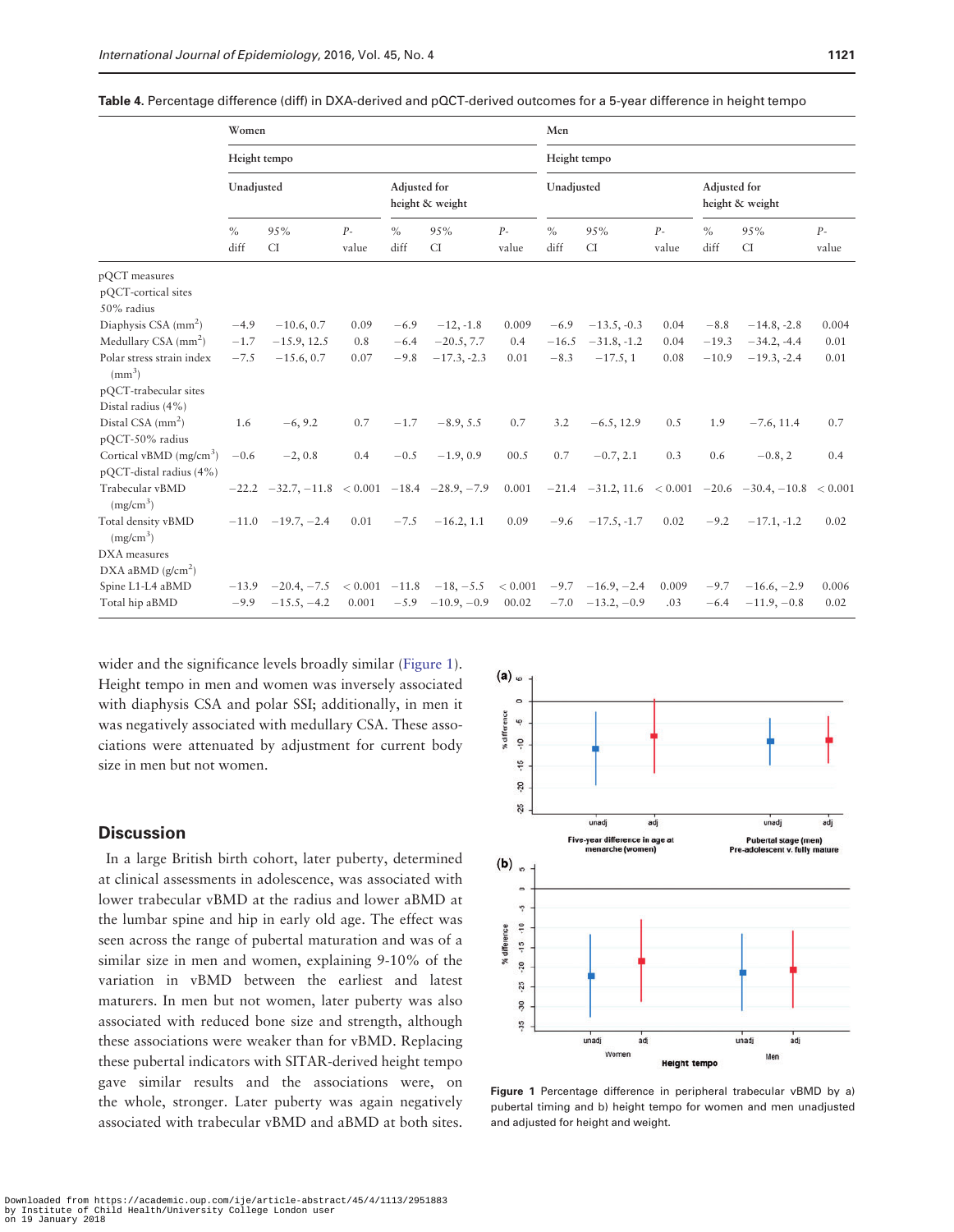#### <span id="page-8-0"></span>Table 4. Percentage difference (diff) in DXA-derived and pQCT-derived outcomes for a 5-year difference in height tempo

|                                                    | Women        |                                                                                             |               |                                 |                                                   | Men           |              |                           |               |                                 |                                                            |               |  |
|----------------------------------------------------|--------------|---------------------------------------------------------------------------------------------|---------------|---------------------------------|---------------------------------------------------|---------------|--------------|---------------------------|---------------|---------------------------------|------------------------------------------------------------|---------------|--|
|                                                    | Height tempo |                                                                                             |               |                                 |                                                   | Height tempo  |              |                           |               |                                 |                                                            |               |  |
|                                                    | Unadjusted   |                                                                                             |               | Adjusted for<br>height & weight |                                                   |               | Unadjusted   |                           |               | Adjusted for<br>height & weight |                                                            |               |  |
|                                                    | $\%$<br>diff | 95%<br>CI                                                                                   | $P-$<br>value | $\frac{0}{0}$<br>diff           | 95%<br>CI                                         | $P-$<br>value | $\%$<br>diff | 95%<br>CI                 | $P-$<br>value | $\%$<br>diff                    | 95%<br>CI                                                  | $P-$<br>value |  |
| pQCT measures<br>pQCT-cortical sites<br>50% radius |              |                                                                                             |               |                                 |                                                   |               |              |                           |               |                                 |                                                            |               |  |
| Diaphysis CSA $\text{(mm}^2)$                      | $-4.9$       | $-10.6, 0.7$                                                                                | 0.09          |                                 | $-6.9 -12, -1.8$                                  | 0.009         |              | $-6.9$ $-13.5, -0.3$      | 0.04          | $-8.8$                          | $-14.8, -2.8$                                              | 0.004         |  |
| Medullary CSA $\text{(mm}^2)$                      | $-1.7$       | $-15.9, 12.5$                                                                               | 0.8           | $-6.4$                          | $-20.5, 7.7$                                      | 0.4           |              | $-16.5 -31.8, -1.2$       | 0.04          | $-19.3$                         | $-34.2, -4.4$                                              | 0.01          |  |
| Polar stress strain index<br>$\rm (mm^3)$          | $-7.5$       | $-15.6, 0.7$                                                                                | 0.07          |                                 | $-9.8 -17.3$ , $-2.3$                             | 0.01          |              | $-8.3 -17.5, 1$           | 0.08          | $-10.9$                         | $-19.3, -2.4$                                              | 0.01          |  |
| pQCT-trabecular sites                              |              |                                                                                             |               |                                 |                                                   |               |              |                           |               |                                 |                                                            |               |  |
| Distal radius (4%)                                 |              |                                                                                             |               |                                 |                                                   |               |              |                           |               |                                 |                                                            |               |  |
| Distal CSA $(mm2)$                                 | 1.6          | $-6, 9.2$                                                                                   | 0.7           | $-1.7$                          | $-8.9, 5.5$                                       | 0.7           | 3.2          | $-6.5, 12.9$              | 0.5           | 1.9                             | $-7.6$ , 11.4                                              | 0.7           |  |
| pQCT-50% radius                                    |              |                                                                                             |               |                                 |                                                   |               |              |                           |               |                                 |                                                            |               |  |
| Cortical vBMD $(mg/cm3)$                           | $-0.6$       | $-2, 0.8$                                                                                   | 0.4           | $-0.5$                          | $-1.9, 0.9$                                       | 00.5          | 0.7          | $-0.7, 2.1$               | 0.3           | 0.6                             | $-0.8, 2$                                                  | 0.4           |  |
| pQCT-distal radius (4%)                            |              |                                                                                             |               |                                 |                                                   |               |              |                           |               |                                 |                                                            |               |  |
| Trabecular vBMD<br>(mg/cm <sup>3</sup> )           |              | $-22.2$ $-32.7, -11.8$ $< 0.001$ $-18.4$ $-28.9, -7.9$                                      |               |                                 |                                                   | 0.001         |              |                           |               |                                 | $-21.4$ $-31.2$ , 11.6 $< 0.001$ $-20.6$ $-30.4$ , $-10.8$ | < 0.001       |  |
| Total density vBMD<br>(mg/cm <sup>3</sup> )        |              | $-11.0$ $-19.7$ , $-2.4$ $0.01$ $-7.5$ $-16.2$ , 1.1                                        |               |                                 |                                                   | 0.09          |              | $-9.6$ $-17.5, -1.7$ 0.02 |               |                                 | $-9.2 -17.1 -1.2$                                          | 0.02          |  |
| DXA measures                                       |              |                                                                                             |               |                                 |                                                   |               |              |                           |               |                                 |                                                            |               |  |
| DXA aBMD $(g/cm2)$                                 |              |                                                                                             |               |                                 |                                                   |               |              |                           |               |                                 |                                                            |               |  |
| Spine L1-L4 aBMD                                   |              | $-13.9$ $-20.4$ , $-7.5$ $< 0.001$ $-11.8$ $-18$ , $-5.5$ $< 0.001$ $-9.7$ $-16.9$ , $-2.4$ |               |                                 |                                                   |               |              |                           | 0.009         |                                 | $-9.7 -16.6, -2.9$                                         | 0.006         |  |
| Total hip aBMD                                     |              | $-9.9$ $-15.5, -4.2$                                                                        |               |                                 | $0.001 -5.9 -10.9, -0.9$ $00.02 -7.0 -13.2, -0.9$ |               |              |                           | .03           |                                 | $-6.4$ $-11.9, -0.8$                                       | 0.02          |  |

wider and the significance levels broadly similar (Figure 1). Height tempo in men and women was inversely associated with diaphysis CSA and polar SSI; additionally, in men it was negatively associated with medullary CSA. These associations were attenuated by adjustment for current body size in men but not women.

## **Discussion**

In a large British birth cohort, later puberty, determined at clinical assessments in adolescence, was associated with lower trabecular vBMD at the radius and lower aBMD at the lumbar spine and hip in early old age. The effect was seen across the range of pubertal maturation and was of a similar size in men and women, explaining 9-10% of the variation in vBMD between the earliest and latest maturers. In men but not women, later puberty was also associated with reduced bone size and strength, although these associations were weaker than for vBMD. Replacing these pubertal indicators with SITAR-derived height tempo gave similar results and the associations were, on the whole, stronger. Later puberty was again negatively associated with trabecular vBMD and aBMD at both sites.



Figure 1 Percentage difference in peripheral trabecular vBMD by a) pubertal timing and b) height tempo for women and men unadjusted and adjusted for height and weight.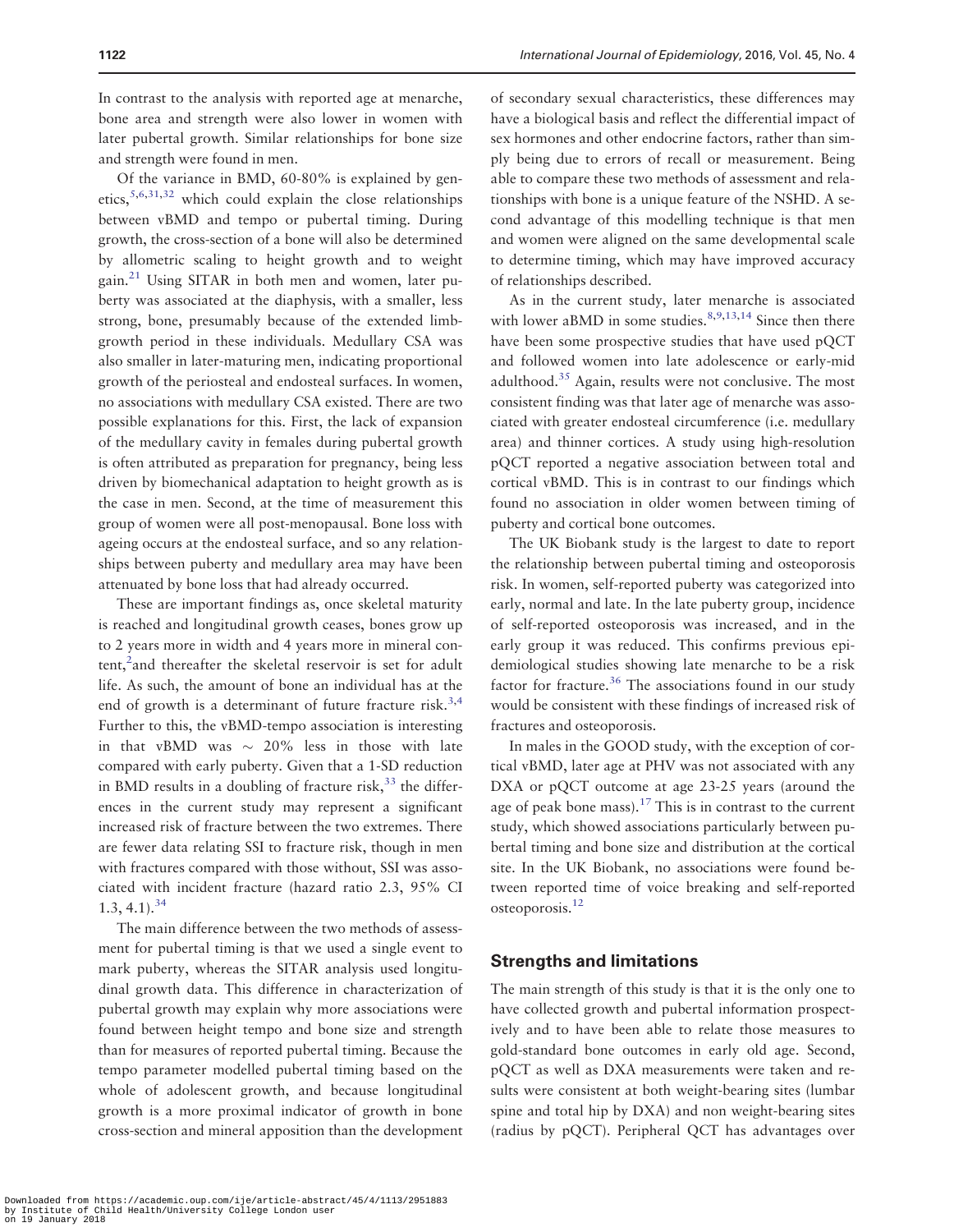In contrast to the analysis with reported age at menarche, bone area and strength were also lower in women with later pubertal growth. Similar relationships for bone size and strength were found in men.

Of the variance in BMD, 60-80% is explained by genetics,  $5,6,31,32$  $5,6,31,32$  which could explain the close relationships between vBMD and tempo or pubertal timing. During growth, the cross-section of a bone will also be determined by allometric scaling to height growth and to weight gain.[21](#page-11-0) Using SITAR in both men and women, later puberty was associated at the diaphysis, with a smaller, less strong, bone, presumably because of the extended limbgrowth period in these individuals. Medullary CSA was also smaller in later-maturing men, indicating proportional growth of the periosteal and endosteal surfaces. In women, no associations with medullary CSA existed. There are two possible explanations for this. First, the lack of expansion of the medullary cavity in females during pubertal growth is often attributed as preparation for pregnancy, being less driven by biomechanical adaptation to height growth as is the case in men. Second, at the time of measurement this group of women were all post-menopausal. Bone loss with ageing occurs at the endosteal surface, and so any relationships between puberty and medullary area may have been attenuated by bone loss that had already occurred.

These are important findings as, once skeletal maturity is reached and longitudinal growth ceases, bones grow up to 2 years more in width and 4 years more in mineral content,<sup>2</sup> and thereafter the skeletal reservoir is set for adult life. As such, the amount of bone an individual has at the end of growth is a determinant of future fracture risk.<sup>[3,4](#page-10-0)</sup> Further to this, the vBMD-tempo association is interesting in that vBMD was  $\sim$  20% less in those with late compared with early puberty. Given that a 1-SD reduction in BMD results in a doubling of fracture risk,  $33$  the differences in the current study may represent a significant increased risk of fracture between the two extremes. There are fewer data relating SSI to fracture risk, though in men with fractures compared with those without, SSI was associated with incident fracture (hazard ratio 2.3, 95% CI  $1.3, 4.1$ .  $3<sup>34</sup>$ 

The main difference between the two methods of assessment for pubertal timing is that we used a single event to mark puberty, whereas the SITAR analysis used longitudinal growth data. This difference in characterization of pubertal growth may explain why more associations were found between height tempo and bone size and strength than for measures of reported pubertal timing. Because the tempo parameter modelled pubertal timing based on the whole of adolescent growth, and because longitudinal growth is a more proximal indicator of growth in bone cross-section and mineral apposition than the development of secondary sexual characteristics, these differences may have a biological basis and reflect the differential impact of sex hormones and other endocrine factors, rather than simply being due to errors of recall or measurement. Being able to compare these two methods of assessment and relationships with bone is a unique feature of the NSHD. A second advantage of this modelling technique is that men and women were aligned on the same developmental scale to determine timing, which may have improved accuracy of relationships described.

As in the current study, later menarche is associated with lower aBMD in some studies.<sup>[8,](#page-10-0)[9,13,14](#page-11-0)</sup> Since then there have been some prospective studies that have used pQCT and followed women into late adolescence or early-mid adulthood.[35](#page-11-0) Again, results were not conclusive. The most consistent finding was that later age of menarche was associated with greater endosteal circumference (i.e. medullary area) and thinner cortices. A study using high-resolution pQCT reported a negative association between total and cortical vBMD. This is in contrast to our findings which found no association in older women between timing of puberty and cortical bone outcomes.

The UK Biobank study is the largest to date to report the relationship between pubertal timing and osteoporosis risk. In women, self-reported puberty was categorized into early, normal and late. In the late puberty group, incidence of self-reported osteoporosis was increased, and in the early group it was reduced. This confirms previous epidemiological studies showing late menarche to be a risk factor for fracture.[36](#page-11-0) The associations found in our study would be consistent with these findings of increased risk of fractures and osteoporosis.

In males in the GOOD study, with the exception of cortical vBMD, later age at PHV was not associated with any DXA or pQCT outcome at age 23-25 years (around the age of peak bone mass).<sup>[17](#page-11-0)</sup> This is in contrast to the current study, which showed associations particularly between pubertal timing and bone size and distribution at the cortical site. In the UK Biobank, no associations were found between reported time of voice breaking and self-reported osteoporosis[.12](#page-11-0)

## Strengths and limitations

The main strength of this study is that it is the only one to have collected growth and pubertal information prospectively and to have been able to relate those measures to gold-standard bone outcomes in early old age. Second, pQCT as well as DXA measurements were taken and results were consistent at both weight-bearing sites (lumbar spine and total hip by DXA) and non weight-bearing sites (radius by pQCT). Peripheral QCT has advantages over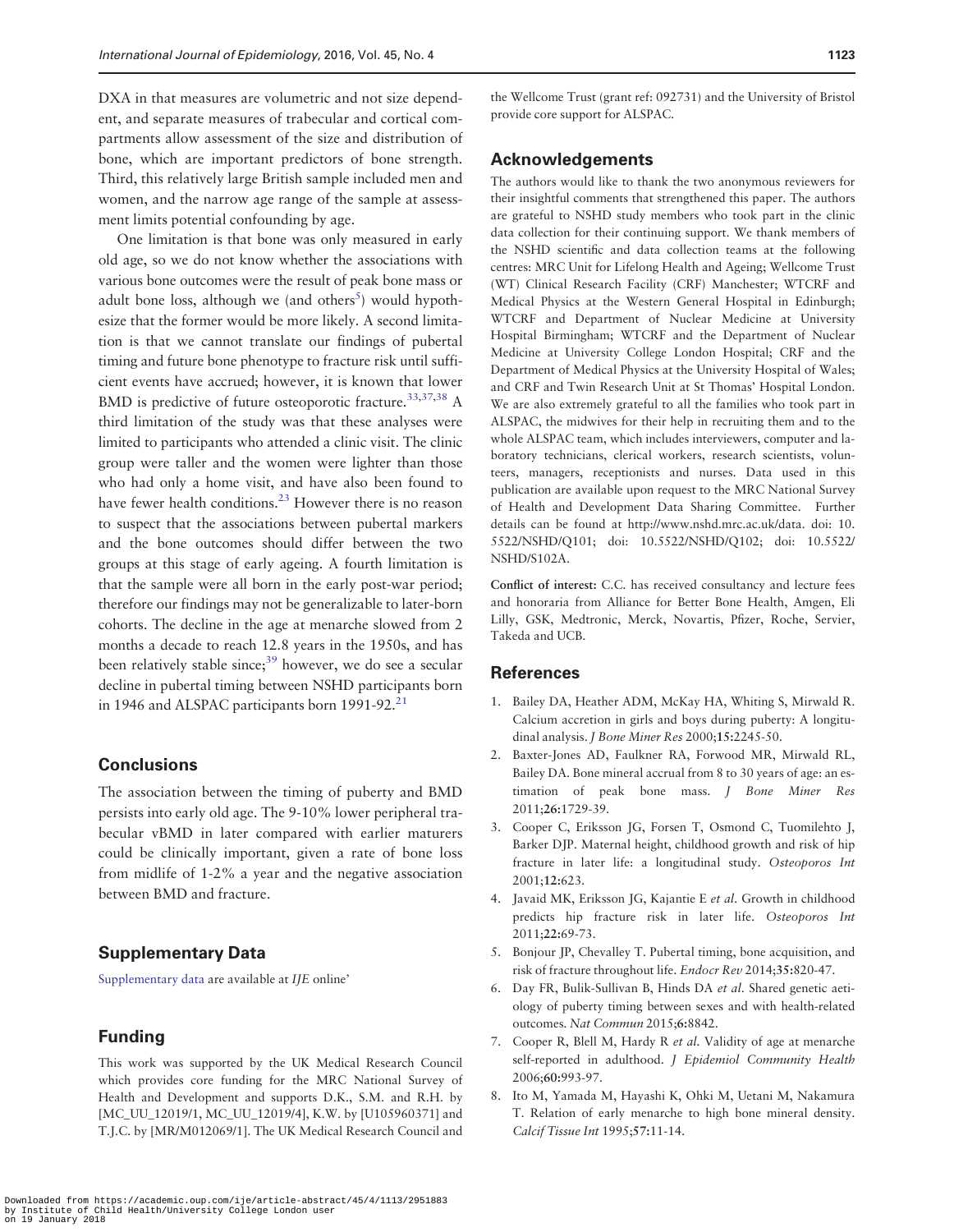<span id="page-10-0"></span>DXA in that measures are volumetric and not size dependent, and separate measures of trabecular and cortical compartments allow assessment of the size and distribution of bone, which are important predictors of bone strength. Third, this relatively large British sample included men and women, and the narrow age range of the sample at assessment limits potential confounding by age.

One limitation is that bone was only measured in early old age, so we do not know whether the associations with various bone outcomes were the result of peak bone mass or adult bone loss, although we (and others<sup>5</sup>) would hypothesize that the former would be more likely. A second limitation is that we cannot translate our findings of pubertal timing and future bone phenotype to fracture risk until sufficient events have accrued; however, it is known that lower BMD is predictive of future osteoporotic fracture[.33,37](#page-11-0),[38](#page-11-0) A third limitation of the study was that these analyses were limited to participants who attended a clinic visit. The clinic group were taller and the women were lighter than those who had only a home visit, and have also been found to have fewer health conditions.<sup>[23](#page-11-0)</sup> However there is no reason to suspect that the associations between pubertal markers and the bone outcomes should differ between the two groups at this stage of early ageing. A fourth limitation is that the sample were all born in the early post-war period; therefore our findings may not be generalizable to later-born cohorts. The decline in the age at menarche slowed from 2 months a decade to reach 12.8 years in the 1950s, and has been relatively stable since;<sup>[39](#page-11-0)</sup> however, we do see a secular decline in pubertal timing between NSHD participants born in 1946 and ALSPAC participants born 1991-92.<sup>21</sup>

## **Conclusions**

The association between the timing of puberty and BMD persists into early old age. The 9-10% lower peripheral trabecular vBMD in later compared with earlier maturers could be clinically important, given a rate of bone loss from midlife of 1-2% a year and the negative association between BMD and fracture.

## Supplementary Data

[Supplementary data](http://ije.oxfordjournals.org/lookup/suppl/doi:10.1093/ije/dyw131/-/DC1) are available at IJE online'

## Funding

This work was supported by the UK Medical Research Council which provides core funding for the MRC National Survey of Health and Development and supports D.K., S.M. and R.H. by [MC\_UU\_12019/1, MC\_UU\_12019/4], K.W. by [U105960371] and T.J.C. by [MR/M012069/1]. The UK Medical Research Council and

the Wellcome Trust (grant ref: 092731) and the University of Bristol provide core support for ALSPAC.

## Acknowledgements

The authors would like to thank the two anonymous reviewers for their insightful comments that strengthened this paper. The authors are grateful to NSHD study members who took part in the clinic data collection for their continuing support. We thank members of the NSHD scientific and data collection teams at the following centres: MRC Unit for Lifelong Health and Ageing; Wellcome Trust (WT) Clinical Research Facility (CRF) Manchester; WTCRF and Medical Physics at the Western General Hospital in Edinburgh; WTCRF and Department of Nuclear Medicine at University Hospital Birmingham; WTCRF and the Department of Nuclear Medicine at University College London Hospital; CRF and the Department of Medical Physics at the University Hospital of Wales; and CRF and Twin Research Unit at St Thomas' Hospital London. We are also extremely grateful to all the families who took part in ALSPAC, the midwives for their help in recruiting them and to the whole ALSPAC team, which includes interviewers, computer and laboratory technicians, clerical workers, research scientists, volunteers, managers, receptionists and nurses. Data used in this publication are available upon request to the MRC National Survey of Health and Development Data Sharing Committee. Further details can be found at [http://www.nshd.mrc.ac.uk/data.](http://www.nshd.mrc.ac.uk/data) doi: 10. 5522/NSHD/Q101; doi: 10.5522/NSHD/Q102; doi: 10.5522/ NSHD/S102A.

Conflict of interest: C.C. has received consultancy and lecture fees and honoraria from Alliance for Better Bone Health, Amgen, Eli Lilly, GSK, Medtronic, Merck, Novartis, Pfizer, Roche, Servier, Takeda and UCB.

## **References**

- 1. Bailey DA, Heather ADM, McKay HA, Whiting S, Mirwald R. Calcium accretion in girls and boys during puberty: A longitudinal analysis. J Bone Miner Res 2000;15:2245-50.
- 2. Baxter-Jones AD, Faulkner RA, Forwood MR, Mirwald RL, Bailey DA. Bone mineral accrual from 8 to 30 years of age: an estimation of peak bone mass. J Bone Miner Res 2011;26:1729-39.
- 3. Cooper C, Eriksson JG, Forsen T, Osmond C, Tuomilehto J, Barker DJP. Maternal height, childhood growth and risk of hip fracture in later life: a longitudinal study. Osteoporos Int 2001;12:623.
- 4. Javaid MK, Eriksson JG, Kajantie E et al. Growth in childhood predicts hip fracture risk in later life. Osteoporos Int 2011;22:69-73.
- 5. Bonjour JP, Chevalley T. Pubertal timing, bone acquisition, and risk of fracture throughout life. Endocr Rev 2014;35:820-47.
- 6. Day FR, Bulik-Sullivan B, Hinds DA et al. Shared genetic aetiology of puberty timing between sexes and with health-related outcomes. Nat Commun 2015;6:8842.
- 7. Cooper R, Blell M, Hardy R et al. Validity of age at menarche self-reported in adulthood. J Epidemiol Community Health 2006;60:993-97.
- 8. Ito M, Yamada M, Hayashi K, Ohki M, Uetani M, Nakamura T. Relation of early menarche to high bone mineral density. Calcif Tissue Int 1995;57:11-14.